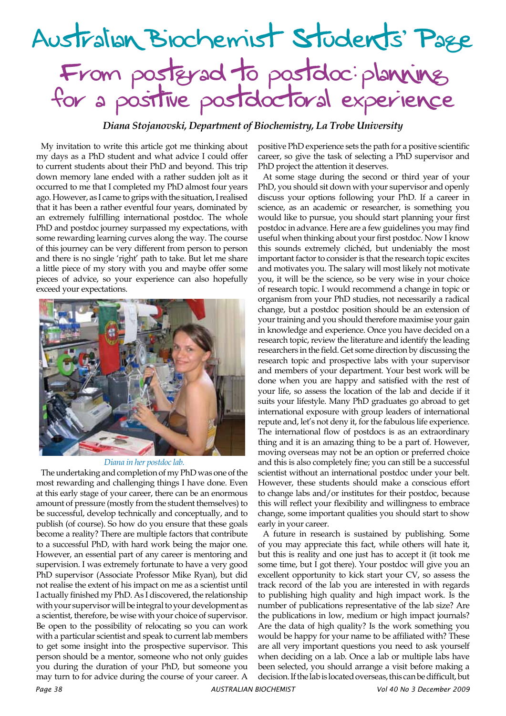## Australian Biochemist Students' Page From postgrad to postdoc: planning for a positive postdoctoral experience

*Diana Stojanovski, Department of Biochemistry, La Trobe University*

My invitation to write this article got me thinking about my days as a PhD student and what advice I could offer to current students about their PhD and beyond. This trip down memory lane ended with a rather sudden jolt as it occurred to me that I completed my PhD almost four years ago. However, as I came to grips with the situation, I realised that it has been a rather eventful four years, dominated by an extremely fulfilling international postdoc. The whole PhD and postdoc journey surpassed my expectations, with some rewarding learning curves along the way. The course of this journey can be very different from person to person and there is no single 'right' path to take. But let me share a little piece of my story with you and maybe offer some pieces of advice, so your experience can also hopefully exceed your expectations.



## *Diana in her postdoc lab.*

The undertaking and completion of my PhD was one of the most rewarding and challenging things I have done. Even at this early stage of your career, there can be an enormous amount of pressure (mostly from the student themselves) to be successful, develop technically and conceptually, and to publish (of course). So how do you ensure that these goals become a reality? There are multiple factors that contribute to a successful PhD, with hard work being the major one. However, an essential part of any career is mentoring and supervision. I was extremely fortunate to have a very good PhD supervisor (Associate Professor Mike Ryan), but did not realise the extent of his impact on me as a scientist until I actually finished my PhD. As I discovered, the relationship with your supervisor will be integral to your development as a scientist, therefore, be wise with your choice of supervisor. Be open to the possibility of relocating so you can work with a particular scientist and speak to current lab members to get some insight into the prospective supervisor. This person should be a mentor, someone who not only guides you during the duration of your PhD, but someone you may turn to for advice during the course of your career. A

positive PhD experience sets the path for a positive scientific career, so give the task of selecting a PhD supervisor and PhD project the attention it deserves.

At some stage during the second or third year of your PhD, you should sit down with your supervisor and openly discuss your options following your PhD. If a career in science, as an academic or researcher, is something you would like to pursue, you should start planning your first postdoc in advance. Here are a few guidelines you may find useful when thinking about your first postdoc. Now I know this sounds extremely clichéd, but undeniably the most important factor to consider is that the research topic excites and motivates you. The salary will most likely not motivate you, it will be the science, so be very wise in your choice of research topic. I would recommend a change in topic or organism from your PhD studies, not necessarily a radical change, but a postdoc position should be an extension of your training and you should therefore maximise your gain in knowledge and experience. Once you have decided on a research topic, review the literature and identify the leading researchers in the field. Get some direction by discussing the research topic and prospective labs with your supervisor and members of your department. Your best work will be done when you are happy and satisfied with the rest of your life, so assess the location of the lab and decide if it suits your lifestyle. Many PhD graduates go abroad to get international exposure with group leaders of international repute and, let's not deny it, for the fabulous life experience. The international flow of postdocs is as an extraordinary thing and it is an amazing thing to be a part of. However, moving overseas may not be an option or preferred choice and this is also completely fine; you can still be a successful scientist without an international postdoc under your belt. However, these students should make a conscious effort to change labs and/or institutes for their postdoc, because this will reflect your flexibility and willingness to embrace change, some important qualities you should start to show early in your career.

A future in research is sustained by publishing. Some of you may appreciate this fact, while others will hate it, but this is reality and one just has to accept it (it took me some time, but I got there). Your postdoc will give you an excellent opportunity to kick start your CV, so assess the track record of the lab you are interested in with regards to publishing high quality and high impact work. Is the number of publications representative of the lab size? Are the publications in low, medium or high impact journals? Are the data of high quality? Is the work something you would be happy for your name to be affiliated with? These are all very important questions you need to ask yourself when deciding on a lab. Once a lab or multiple labs have been selected, you should arrange a visit before making a decision. If the lab is located overseas, this can be difficult, but